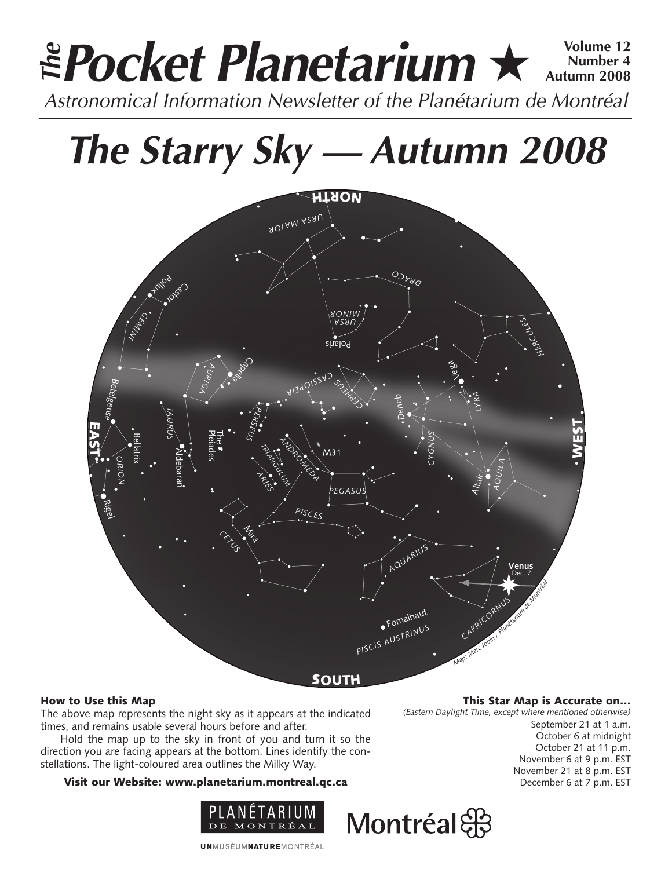# **Pocket Planetarium ★**  $\frac{\text{Volume }12}{\text{Number }4}$ **Number 4 Autumn 2008 EPocket Planetarium**  $\star$  Number 4<br>Astronomical Information Newsletter of the Planétarium de Montréal

# **The Starry Sky — Autumn 2008**



## How to Use this Map

The above map represents the night sky as it appears at the indicated times, and remains usable several hours before and after.

Hold the map up to the sky in front of you and turn it so the direction you are facing appears at the bottom. Lines identify the constellations. The light-coloured area outlines the Milky Way.

## Visit our Website: www.planetarium.montreal.qc.ca



This Star Map is Accurate on…

*(Eastern Daylight Time, except where mentioned otherwise)*

September 21 at 1 a.m. October 6 at midnight October 21 at 11 p.m. November 6 at 9 p.m. EST November 21 at 8 p.m. EST December 6 at 7 p.m. EST



**UNMUSÉUMNATUREMONTRÉAL**